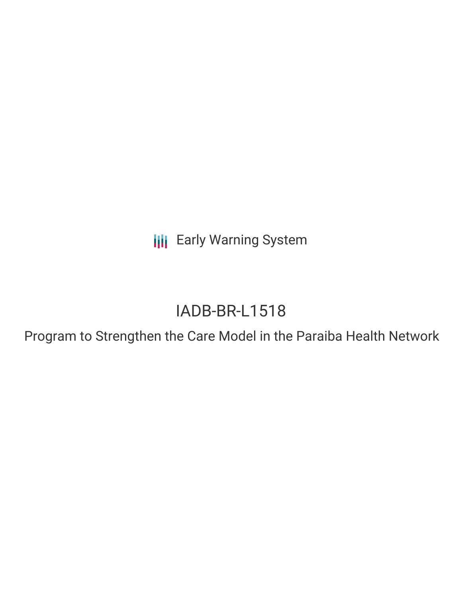**III** Early Warning System

# IADB-BR-L1518

Program to Strengthen the Care Model in the Paraiba Health Network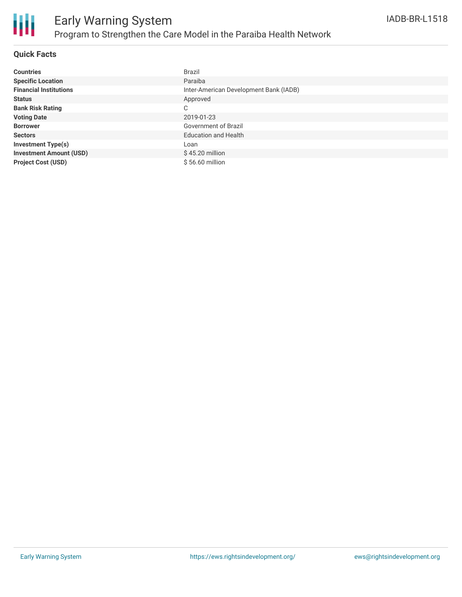

#### **Quick Facts**

| <b>Countries</b>               | Brazil                                 |
|--------------------------------|----------------------------------------|
| <b>Specific Location</b>       | Paraiba                                |
| <b>Financial Institutions</b>  | Inter-American Development Bank (IADB) |
| <b>Status</b>                  | Approved                               |
| <b>Bank Risk Rating</b>        | C                                      |
| <b>Voting Date</b>             | 2019-01-23                             |
| <b>Borrower</b>                | Government of Brazil                   |
| <b>Sectors</b>                 | <b>Education and Health</b>            |
| <b>Investment Type(s)</b>      | Loan                                   |
| <b>Investment Amount (USD)</b> | $$45.20$ million                       |
| <b>Project Cost (USD)</b>      | \$56.60 million                        |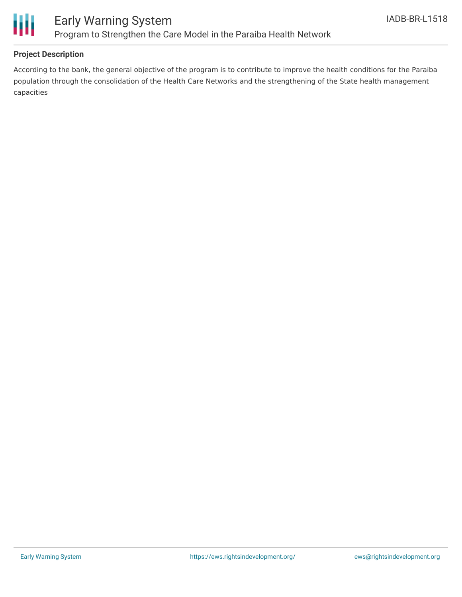

#### **Project Description**

According to the bank, the general objective of the program is to contribute to improve the health conditions for the Paraiba population through the consolidation of the Health Care Networks and the strengthening of the State health management capacities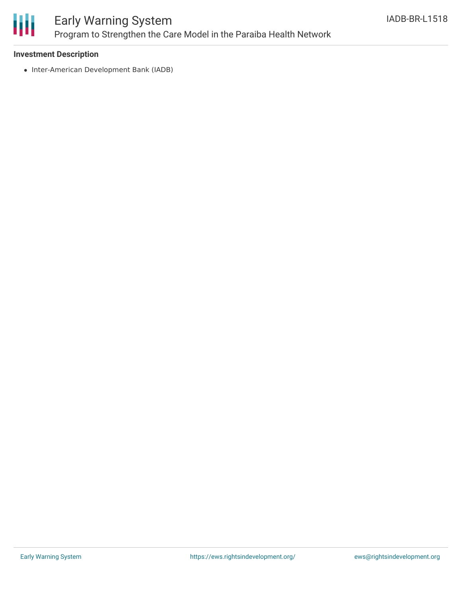

## Early Warning System Program to Strengthen the Care Model in the Paraiba Health Network

#### **Investment Description**

• Inter-American Development Bank (IADB)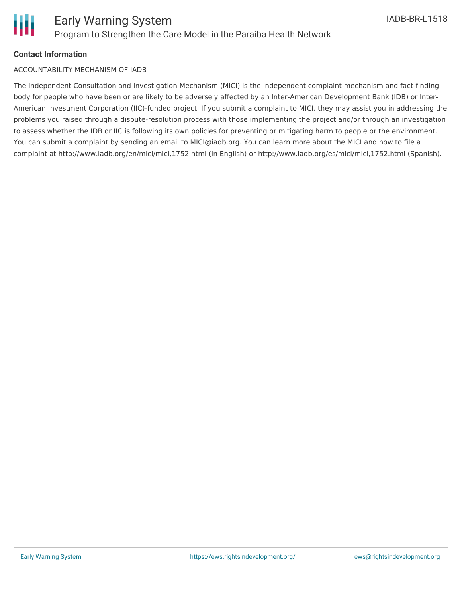#### **Contact Information**

#### ACCOUNTABILITY MECHANISM OF IADB

The Independent Consultation and Investigation Mechanism (MICI) is the independent complaint mechanism and fact-finding body for people who have been or are likely to be adversely affected by an Inter-American Development Bank (IDB) or Inter-American Investment Corporation (IIC)-funded project. If you submit a complaint to MICI, they may assist you in addressing the problems you raised through a dispute-resolution process with those implementing the project and/or through an investigation to assess whether the IDB or IIC is following its own policies for preventing or mitigating harm to people or the environment. You can submit a complaint by sending an email to MICI@iadb.org. You can learn more about the MICI and how to file a complaint at http://www.iadb.org/en/mici/mici,1752.html (in English) or http://www.iadb.org/es/mici/mici,1752.html (Spanish).